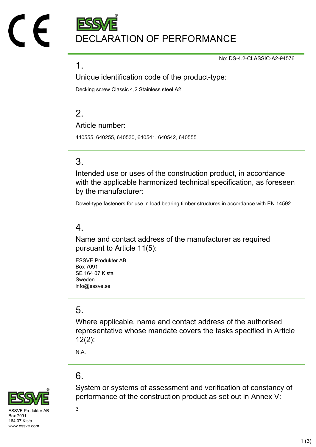DECLARATION OF PERFORMANCE

No: DS-4.2-CLASSIC-A2-94576

#### 1.

Unique identification code of the product-type:

Decking screw Classic 4,2 Stainless steel A2

## $\mathcal{P}$

Article number:

440555, 640255, 640530, 640541, 640542, 640555

## 3.

Intended use or uses of the construction product, in accordance with the applicable harmonized technical specification, as foreseen by the manufacturer:

Dowel-type fasteners for use in load bearing timber structures in accordance with EN 14592

### 4.

Name and contact address of the manufacturer as required pursuant to Article 11(5):

ESSVE Produkter AB Box 7091 SE 164 07 Kista Sweden info@essve.se

## 5.

Where applicable, name and contact address of the authorised representative whose mandate covers the tasks specified in Article 12(2):

System or systems of assessment and verification of constancy of

performance of the construction product as set out in Annex V:

N.A.

## 6.



 $SVF$  Produkter AB  $3$ Box 7091 164 07 Kista www.essve.com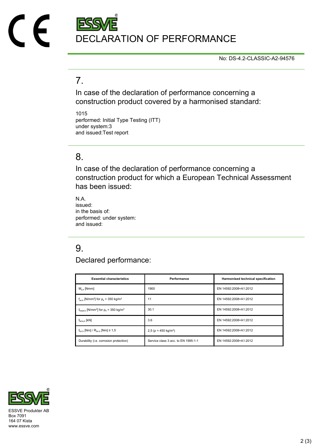

No: DS-4.2-CLASSIC-A2-94576

#### 7.

In case of the declaration of performance concerning a construction product covered by a harmonised standard:

1015 performed: Initial Type Testing (ITT) under system:3 and issued:Test report

#### 8.

In case of the declaration of performance concerning a construction product for which a European Technical Assessment has been issued:

N.A. issued: in the basis of: performed: under system: and issued:

## 9.

Declared performance:

| <b>Essential characteristics</b>                                              | Performance                            | Harmonised technical specification |
|-------------------------------------------------------------------------------|----------------------------------------|------------------------------------|
| $M_{v k}$ [Nmm]                                                               | 1900                                   | EN 14592:2008+A1:2012              |
| $f_{\text{ax k}}$ [N/mm <sup>2</sup> ] for $\rho_k$ = 350 kg/m <sup>3</sup>   | 11                                     | EN 14592:2008+A1:2012              |
| $f_{\text{head},k}$ [N/mm <sup>2</sup> ] for $\rho_k$ = 350 kg/m <sup>3</sup> | 30.1                                   | EN 14592:2008+A1:2012              |
| $f_{\text{tens }k}$ [kN]                                                      | 3.6                                    | EN 14592:2008+A1:2012              |
| $f_{\text{tor.}k}$ [Nm] / $R_{\text{tor.}k}$ [Nm] $\geq 1.5$                  | 2,5 ( $\rho$ = 450 kg/m <sup>3</sup> ) | EN 14592:2008+A1:2012              |
| Durability (i.e. corrosion protection)                                        | Service class 3 acc. to EN 1995-1-1    | EN 14592:2008+A1:2012              |



Box 7091 164 07 Kista www.essve.com